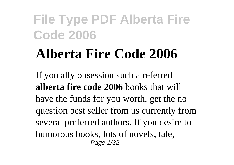# **Alberta Fire Code 2006**

If you ally obsession such a referred **alberta fire code 2006** books that will have the funds for you worth, get the no question best seller from us currently from several preferred authors. If you desire to humorous books, lots of novels, tale, Page 1/32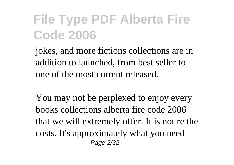jokes, and more fictions collections are in addition to launched, from best seller to one of the most current released.

You may not be perplexed to enjoy every books collections alberta fire code 2006 that we will extremely offer. It is not re the costs. It's approximately what you need Page 2/32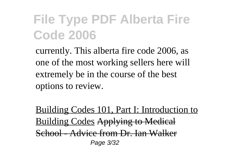currently. This alberta fire code 2006, as one of the most working sellers here will extremely be in the course of the best options to review.

Building Codes 101, Part I: Introduction to Building Codes Applying to Medical School - Advice from Dr. Ian Walker Page 3/32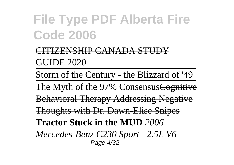#### <u>'ENSHIP CANADA STI</u> GUIDE 2020

Storm of the Century - the Blizzard of '49

The Myth of the 97% Consensus<del>Cognitive</del> Behavioral Therapy Addressing Negative Thoughts with Dr. Dawn-Elise Snipes **Tractor Stuck in the MUD** *2006 Mercedes-Benz C230 Sport | 2.5L V6* Page 4/32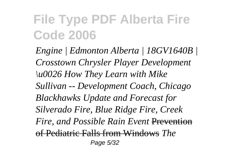*Engine | Edmonton Alberta | 18GV1640B | Crosstown Chrysler Player Development \u0026 How They Learn with Mike Sullivan -- Development Coach, Chicago Blackhawks Update and Forecast for Silverado Fire, Blue Ridge Fire, Creek Fire, and Possible Rain Event* Prevention of Pediatric Falls from Windows *The* Page 5/32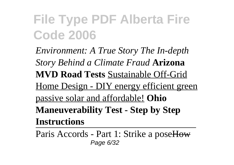*Environment: A True Story The In-depth Story Behind a Climate Fraud* **Arizona MVD Road Tests** Sustainable Off-Grid Home Design - DIY energy efficient green passive solar and affordable! **Ohio Maneuverability Test - Step by Step Instructions**

Paris Accords - Part 1: Strike a poseHow Page 6/32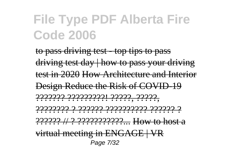to pass driving test - top tips to pass driving test day | how to pass your driving test in 2020 How Architecture and Interior Design Reduce the Risk of COVID-19 ??????? ?????????! ?????, ?????, ???????? ? ?????? ?????????? ?????? ? ?????? // ? ???????????... How to host a virtual meeting in ENGAGE | VR Page 7/32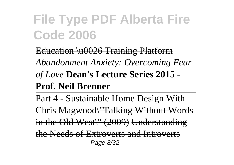Education \u0026 Training Platform *Abandonment Anxiety: Overcoming Fear of Love* **Dean's Lecture Series 2015 - Prof. Neil Brenner**

Part 4 - Sustainable Home Design With Chris Magwood\"Talking Without Words in the Old West\" (2009) Understanding the Needs of Extroverts and Introverts Page 8/32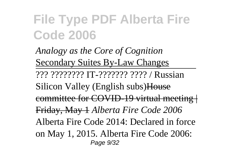*Analogy as the Core of Cognition* Secondary Suites By-Law Changes ??? ???????? IT-??????? ???? / Russian Silicon Valley (English subs)House committee for COVID-19 virtual meeting | Friday, May 1 *Alberta Fire Code 2006* Alberta Fire Code 2014: Declared in force on May 1, 2015. Alberta Fire Code 2006: Page 9/32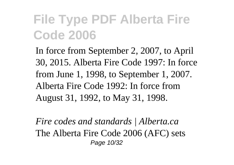In force from September 2, 2007, to April 30, 2015. Alberta Fire Code 1997: In force from June 1, 1998, to September 1, 2007. Alberta Fire Code 1992: In force from August 31, 1992, to May 31, 1998.

*Fire codes and standards | Alberta.ca* The Alberta Fire Code 2006 (AFC) sets Page 10/32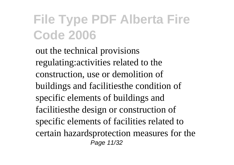out the technical provisions regulating:activities related to the construction, use or demolition of buildings and facilitiesthe condition of specific elements of buildings and facilitiesthe design or construction of specific elements of facilities related to certain hazardsprotection measures for the Page 11/32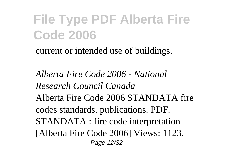current or intended use of buildings.

*Alberta Fire Code 2006 - National Research Council Canada* Alberta Fire Code 2006 STANDATA fire codes standards. publications. PDF. STANDATA : fire code interpretation [Alberta Fire Code 2006] Views: 1123. Page 12/32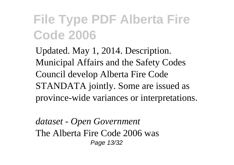Updated. May 1, 2014. Description. Municipal Affairs and the Safety Codes Council develop Alberta Fire Code STANDATA jointly. Some are issued as province-wide variances or interpretations.

*dataset - Open Government* The Alberta Fire Code 2006 was Page 13/32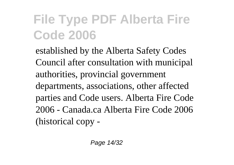established by the Alberta Safety Codes Council after consultation with municipal authorities, provincial government departments, associations, other affected parties and Code users. Alberta Fire Code 2006 - Canada.ca Alberta Fire Code 2006 (historical copy -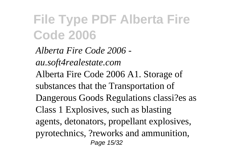*Alberta Fire Code 2006 au.soft4realestate.com* Alberta Fire Code 2006 A1. Storage of substances that the Transportation of Dangerous Goods Regulations classi?es as Class 1 Explosives, such as blasting agents, detonators, propellant explosives, pyrotechnics, ?reworks and ammunition, Page 15/32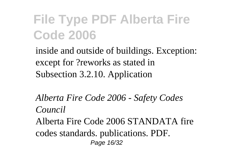inside and outside of buildings. Exception: except for ?reworks as stated in Subsection 3.2.10. Application

*Alberta Fire Code 2006 - Safety Codes Council*

Alberta Fire Code 2006 STANDATA fire codes standards. publications. PDF. Page 16/32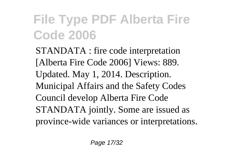STANDATA : fire code interpretation [Alberta Fire Code 2006] Views: 889. Updated. May 1, 2014. Description. Municipal Affairs and the Safety Codes Council develop Alberta Fire Code STANDATA jointly. Some are issued as province-wide variances or interpretations.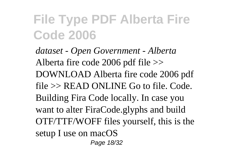*dataset - Open Government - Alberta* Alberta fire code 2006 pdf file >> DOWNLOAD Alberta fire code 2006 pdf file >> READ ONLINE Go to file. Code. Building Fira Code locally. In case you want to alter FiraCode.glyphs and build OTF/TTF/WOFF files yourself, this is the setup I use on macOS Page 18/32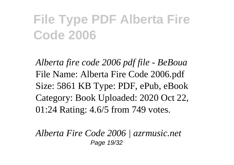*Alberta fire code 2006 pdf file - BeBoua* File Name: Alberta Fire Code 2006.pdf Size: 5861 KB Type: PDF, ePub, eBook Category: Book Uploaded: 2020 Oct 22, 01:24 Rating: 4.6/5 from 749 votes.

*Alberta Fire Code 2006 | azrmusic.net* Page 19/32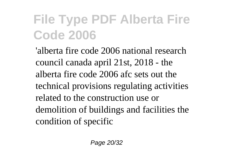'alberta fire code 2006 national research council canada april 21st, 2018 - the alberta fire code 2006 afc sets out the technical provisions regulating activities related to the construction use or demolition of buildings and facilities the condition of specific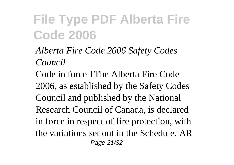*Alberta Fire Code 2006 Safety Codes Council*

Code in force 1The Alberta Fire Code 2006, as established by the Safety Codes Council and published by the National Research Council of Canada, is declared in force in respect of fire protection, with the variations set out in the Schedule. AR Page 21/32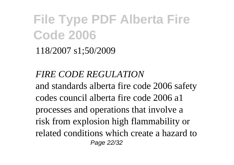118/2007 s1;50/2009

*FIRE CODE REGULATION* and standards alberta fire code 2006 safety codes council alberta fire code 2006 a1 processes and operations that involve a risk from explosion high flammability or related conditions which create a hazard to Page 22/32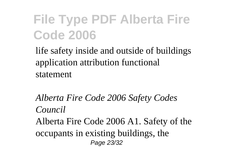life safety inside and outside of buildings application attribution functional statement

*Alberta Fire Code 2006 Safety Codes Council* Alberta Fire Code 2006 A1. Safety of the occupants in existing buildings, the Page 23/32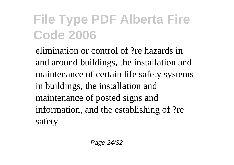elimination or control of ?re hazards in and around buildings, the installation and maintenance of certain life safety systems in buildings, the installation and maintenance of posted signs and information, and the establishing of ?re safety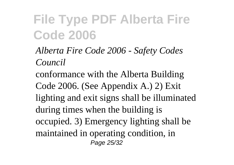*Alberta Fire Code 2006 - Safety Codes Council*

conformance with the Alberta Building Code 2006. (See Appendix A.) 2) Exit lighting and exit signs shall be illuminated during times when the building is occupied. 3) Emergency lighting shall be maintained in operating condition, in Page 25/32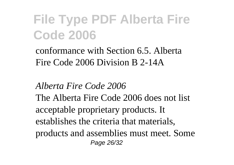conformance with Section 6.5. Alberta Fire Code 2006 Division B 2-14A

#### *Alberta Fire Code 2006*

The Alberta Fire Code 2006 does not list acceptable proprietary products. It establishes the criteria that materials, products and assemblies must meet. Some Page 26/32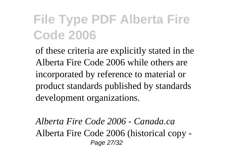of these criteria are explicitly stated in the Alberta Fire Code 2006 while others are incorporated by reference to material or product standards published by standards development organizations.

*Alberta Fire Code 2006 - Canada.ca* Alberta Fire Code 2006 (historical copy - Page 27/32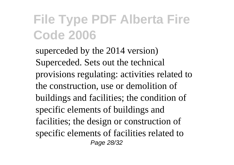superceded by the 2014 version) Superceded. Sets out the technical provisions regulating: activities related to the construction, use or demolition of buildings and facilities; the condition of specific elements of buildings and facilities; the design or construction of specific elements of facilities related to Page 28/32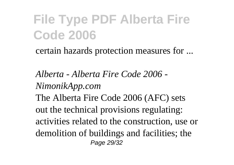certain hazards protection measures for ...

*Alberta - Alberta Fire Code 2006 - NimonikApp.com* The Alberta Fire Code 2006 (AFC) sets out the technical provisions regulating: activities related to the construction, use or demolition of buildings and facilities; the Page 29/32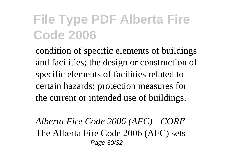condition of specific elements of buildings and facilities; the design or construction of specific elements of facilities related to certain hazards; protection measures for the current or intended use of buildings.

*Alberta Fire Code 2006 (AFC) - CORE* The Alberta Fire Code 2006 (AFC) sets Page 30/32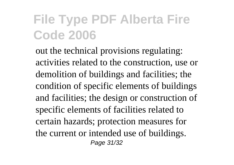out the technical provisions regulating: activities related to the construction, use or demolition of buildings and facilities; the condition of specific elements of buildings and facilities; the design or construction of specific elements of facilities related to certain hazards; protection measures for the current or intended use of buildings. Page 31/32